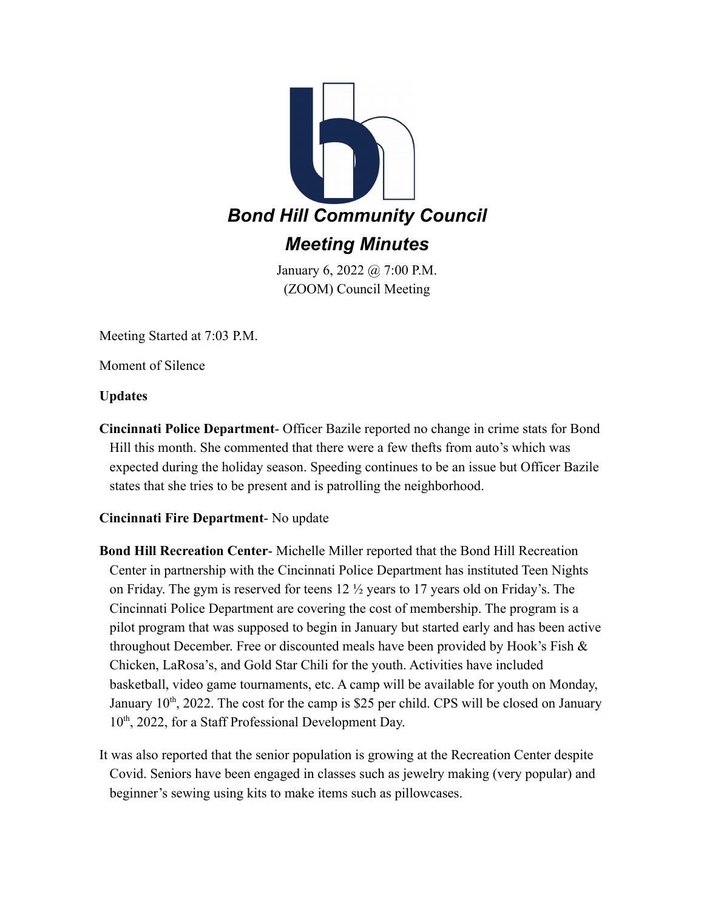

January 6, 2022 @ 7:00 P.M. (ZOOM) Council Meeting

Meeting Started at 7:03 P.M.

Moment of Silence

**Updates**

**Cincinnati Police Department**- Officer Bazile reported no change in crime stats for Bond Hill this month. She commented that there were a few thefts from auto's which was expected during the holiday season. Speeding continues to be an issue but Officer Bazile states that she tries to be present and is patrolling the neighborhood.

# **Cincinnati Fire Department**- No update

- **Bond Hill Recreation Center** Michelle Miller reported that the Bond Hill Recreation Center in partnership with the Cincinnati Police Department has instituted Teen Nights on Friday. The gym is reserved for teens 12 ½ years to 17 years old on Friday's. The Cincinnati Police Department are covering the cost of membership. The program is a pilot program that was supposed to begin in January but started early and has been active throughout December. Free or discounted meals have been provided by Hook's Fish  $\&$ Chicken, LaRosa's, and Gold Star Chili for the youth. Activities have included basketball, video game tournaments, etc. A camp will be available for youth on Monday, January  $10<sup>th</sup>$ , 2022. The cost for the camp is \$25 per child. CPS will be closed on January 10<sup>th</sup>, 2022, for a Staff Professional Development Day.
- It was also reported that the senior population is growing at the Recreation Center despite Covid. Seniors have been engaged in classes such as jewelry making (very popular) and beginner's sewing using kits to make items such as pillowcases.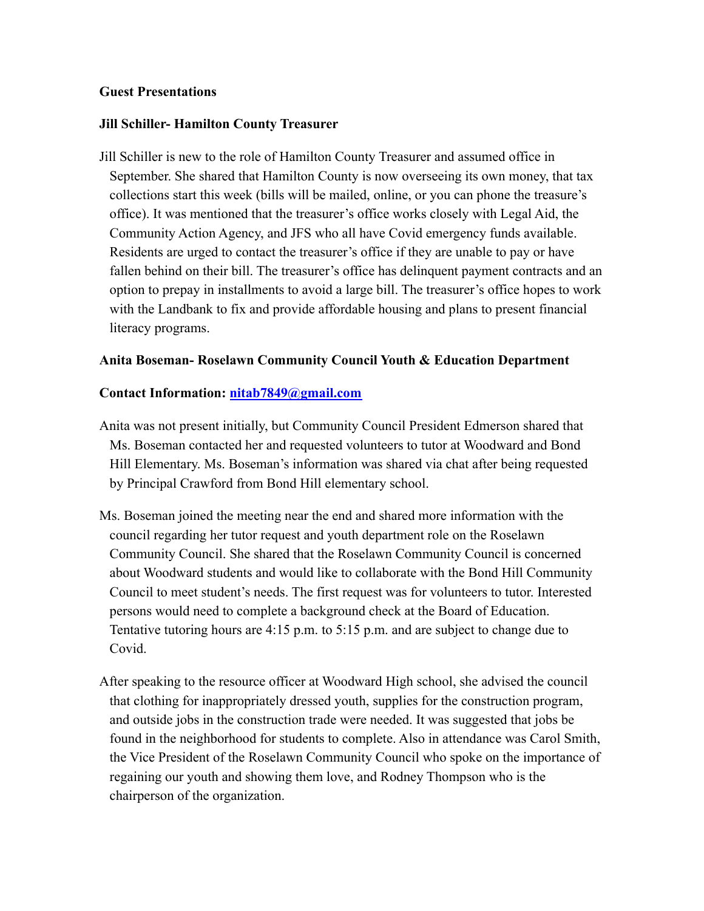## **Guest Presentations**

## **Jill Schiller- Hamilton County Treasurer**

Jill Schiller is new to the role of Hamilton County Treasurer and assumed office in September. She shared that Hamilton County is now overseeing its own money, that tax collections start this week (bills will be mailed, online, or you can phone the treasure's office). It was mentioned that the treasurer's office works closely with Legal Aid, the Community Action Agency, and JFS who all have Covid emergency funds available. Residents are urged to contact the treasurer's office if they are unable to pay or have fallen behind on their bill. The treasurer's office has delinquent payment contracts and an option to prepay in installments to avoid a large bill. The treasurer's office hopes to work with the Landbank to fix and provide affordable housing and plans to present financial literacy programs.

# **Anita Boseman- Roselawn Community Council Youth & Education Department**

#### **Contact Information: [nitab7849@gmail.com](mailto:nitab7849@gmail.com)**

- Anita was not present initially, but Community Council President Edmerson shared that Ms. Boseman contacted her and requested volunteers to tutor at Woodward and Bond Hill Elementary. Ms. Boseman's information was shared via chat after being requested by Principal Crawford from Bond Hill elementary school.
- Ms. Boseman joined the meeting near the end and shared more information with the council regarding her tutor request and youth department role on the Roselawn Community Council. She shared that the Roselawn Community Council is concerned about Woodward students and would like to collaborate with the Bond Hill Community Council to meet student's needs. The first request was for volunteers to tutor. Interested persons would need to complete a background check at the Board of Education. Tentative tutoring hours are 4:15 p.m. to 5:15 p.m. and are subject to change due to Covid.
- After speaking to the resource officer at Woodward High school, she advised the council that clothing for inappropriately dressed youth, supplies for the construction program, and outside jobs in the construction trade were needed. It was suggested that jobs be found in the neighborhood for students to complete. Also in attendance was Carol Smith, the Vice President of the Roselawn Community Council who spoke on the importance of regaining our youth and showing them love, and Rodney Thompson who is the chairperson of the organization.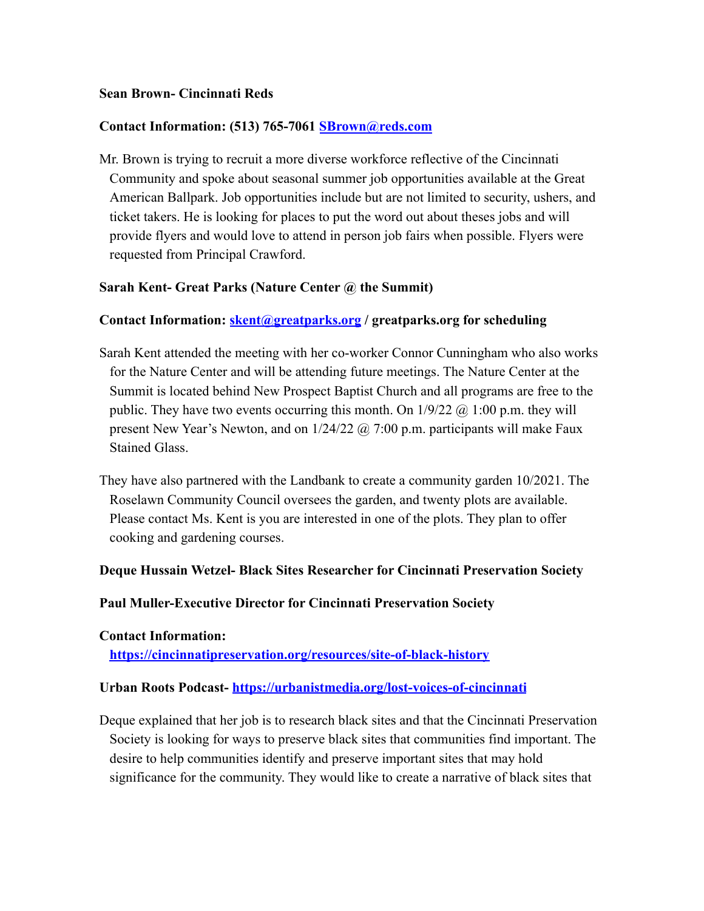## **Sean Brown- Cincinnati Reds**

## **Contact Information: (513) 765-7061 [SBrown@reds.com](mailto:SBrown@reds.com)**

Mr. Brown is trying to recruit a more diverse workforce reflective of the Cincinnati Community and spoke about seasonal summer job opportunities available at the Great American Ballpark. Job opportunities include but are not limited to security, ushers, and ticket takers. He is looking for places to put the word out about theses jobs and will provide flyers and would love to attend in person job fairs when possible. Flyers were requested from Principal Crawford.

## **Sarah Kent- Great Parks (Nature Center @ the Summit)**

## **Contact Information: [skent@greatparks.org](mailto:skent@greatparks.org) / greatparks.org for scheduling**

- Sarah Kent attended the meeting with her co-worker Connor Cunningham who also works for the Nature Center and will be attending future meetings. The Nature Center at the Summit is located behind New Prospect Baptist Church and all programs are free to the public. They have two events occurring this month. On  $1/9/22$  @ 1:00 p.m. they will present New Year's Newton, and on 1/24/22 @ 7:00 p.m. participants will make Faux Stained Glass.
- They have also partnered with the Landbank to create a community garden 10/2021. The Roselawn Community Council oversees the garden, and twenty plots are available. Please contact Ms. Kent is you are interested in one of the plots. They plan to offer cooking and gardening courses.

#### **Deque Hussain Wetzel- Black Sites Researcher for Cincinnati Preservation Society**

#### **Paul Muller-Executive Director for Cincinnati Preservation Society**

## **Contact Information: <https://cincinnatipreservation.org/resources/site-of-black-history>**

# **Urban Roots Podcast- <https://urbanistmedia.org/lost-voices-of-cincinnati>**

Deque explained that her job is to research black sites and that the Cincinnati Preservation Society is looking for ways to preserve black sites that communities find important. The desire to help communities identify and preserve important sites that may hold significance for the community. They would like to create a narrative of black sites that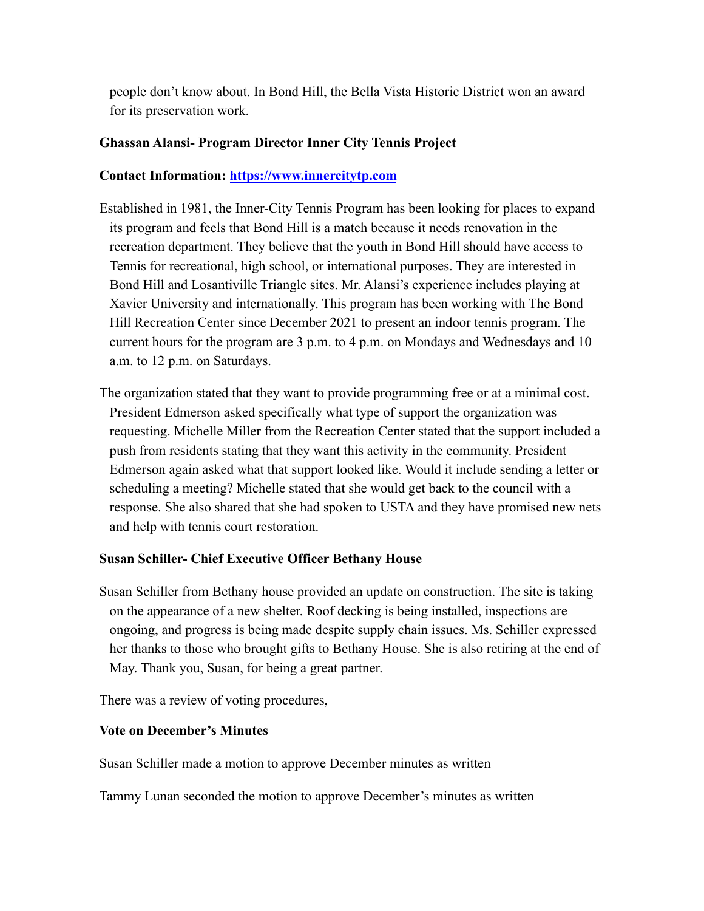people don't know about. In Bond Hill, the Bella Vista Historic District won an award for its preservation work.

# **Ghassan Alansi- Program Director Inner City Tennis Project**

# **Contact Information: <https://www.innercitytp.com>**

- Established in 1981, the Inner-City Tennis Program has been looking for places to expand its program and feels that Bond Hill is a match because it needs renovation in the recreation department. They believe that the youth in Bond Hill should have access to Tennis for recreational, high school, or international purposes. They are interested in Bond Hill and Losantiville Triangle sites. Mr. Alansi's experience includes playing at Xavier University and internationally. This program has been working with The Bond Hill Recreation Center since December 2021 to present an indoor tennis program. The current hours for the program are 3 p.m. to 4 p.m. on Mondays and Wednesdays and 10 a.m. to 12 p.m. on Saturdays.
- The organization stated that they want to provide programming free or at a minimal cost. President Edmerson asked specifically what type of support the organization was requesting. Michelle Miller from the Recreation Center stated that the support included a push from residents stating that they want this activity in the community. President Edmerson again asked what that support looked like. Would it include sending a letter or scheduling a meeting? Michelle stated that she would get back to the council with a response. She also shared that she had spoken to USTA and they have promised new nets and help with tennis court restoration.

# **Susan Schiller- Chief Executive Officer Bethany House**

Susan Schiller from Bethany house provided an update on construction. The site is taking on the appearance of a new shelter. Roof decking is being installed, inspections are ongoing, and progress is being made despite supply chain issues. Ms. Schiller expressed her thanks to those who brought gifts to Bethany House. She is also retiring at the end of May. Thank you, Susan, for being a great partner.

There was a review of voting procedures,

# **Vote on December's Minutes**

Susan Schiller made a motion to approve December minutes as written

Tammy Lunan seconded the motion to approve December's minutes as written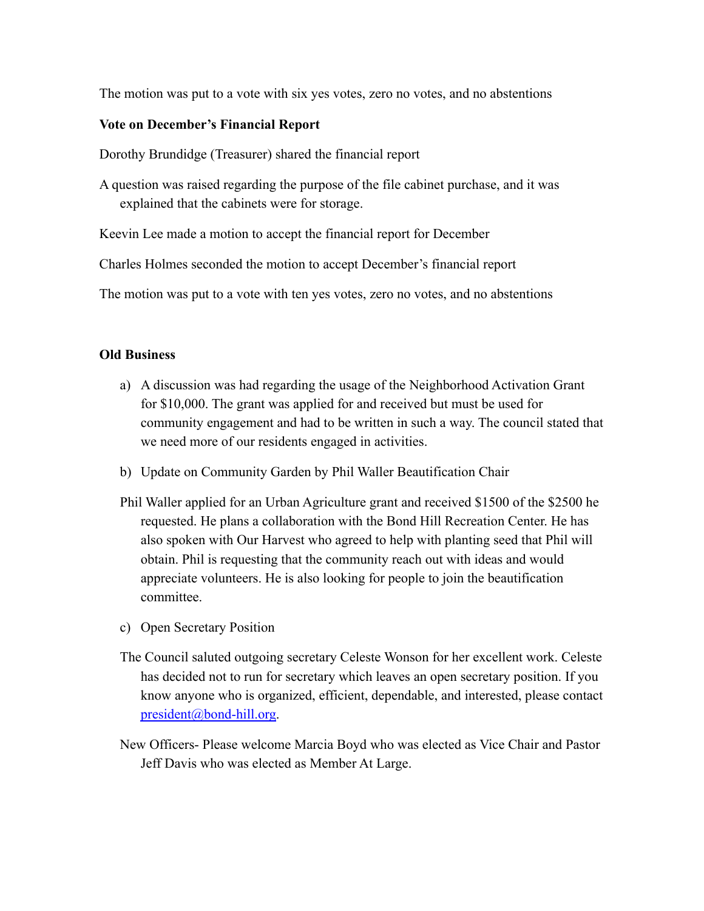The motion was put to a vote with six yes votes, zero no votes, and no abstentions

#### **Vote on December's Financial Report**

Dorothy Brundidge (Treasurer) shared the financial report

A question was raised regarding the purpose of the file cabinet purchase, and it was explained that the cabinets were for storage.

Keevin Lee made a motion to accept the financial report for December

Charles Holmes seconded the motion to accept December's financial report

The motion was put to a vote with ten yes votes, zero no votes, and no abstentions

#### **Old Business**

- a) A discussion was had regarding the usage of the Neighborhood Activation Grant for \$10,000. The grant was applied for and received but must be used for community engagement and had to be written in such a way. The council stated that we need more of our residents engaged in activities.
- b) Update on Community Garden by Phil Waller Beautification Chair
- Phil Waller applied for an Urban Agriculture grant and received \$1500 of the \$2500 he requested. He plans a collaboration with the Bond Hill Recreation Center. He has also spoken with Our Harvest who agreed to help with planting seed that Phil will obtain. Phil is requesting that the community reach out with ideas and would appreciate volunteers. He is also looking for people to join the beautification committee.
- c) Open Secretary Position
- The Council saluted outgoing secretary Celeste Wonson for her excellent work. Celeste has decided not to run for secretary which leaves an open secretary position. If you know anyone who is organized, efficient, dependable, and interested, please contact [president@bond-hill.org](mailto:president@bond-hill.org).
- New Officers- Please welcome Marcia Boyd who was elected as Vice Chair and Pastor Jeff Davis who was elected as Member At Large.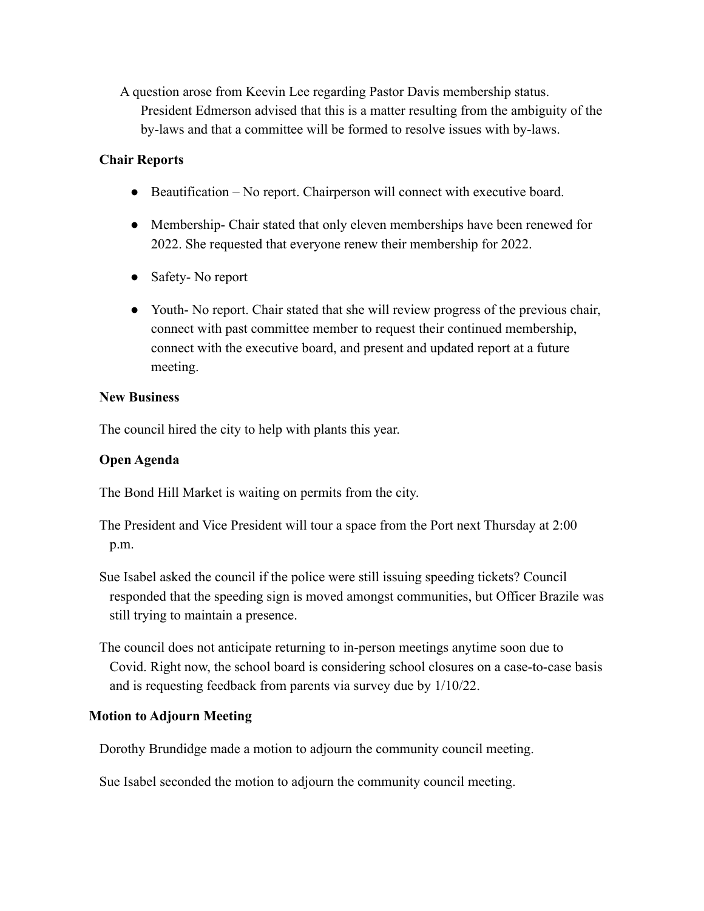A question arose from Keevin Lee regarding Pastor Davis membership status. President Edmerson advised that this is a matter resulting from the ambiguity of the by-laws and that a committee will be formed to resolve issues with by-laws.

## **Chair Reports**

- Beautification No report. Chairperson will connect with executive board.
- Membership- Chair stated that only eleven memberships have been renewed for 2022. She requested that everyone renew their membership for 2022.
- Safety- No report
- Youth- No report. Chair stated that she will review progress of the previous chair, connect with past committee member to request their continued membership, connect with the executive board, and present and updated report at a future meeting.

## **New Business**

The council hired the city to help with plants this year.

# **Open Agenda**

The Bond Hill Market is waiting on permits from the city.

- The President and Vice President will tour a space from the Port next Thursday at 2:00 p.m.
- Sue Isabel asked the council if the police were still issuing speeding tickets? Council responded that the speeding sign is moved amongst communities, but Officer Brazile was still trying to maintain a presence.
- The council does not anticipate returning to in-person meetings anytime soon due to Covid. Right now, the school board is considering school closures on a case-to-case basis and is requesting feedback from parents via survey due by 1/10/22.

# **Motion to Adjourn Meeting**

Dorothy Brundidge made a motion to adjourn the community council meeting.

Sue Isabel seconded the motion to adjourn the community council meeting.